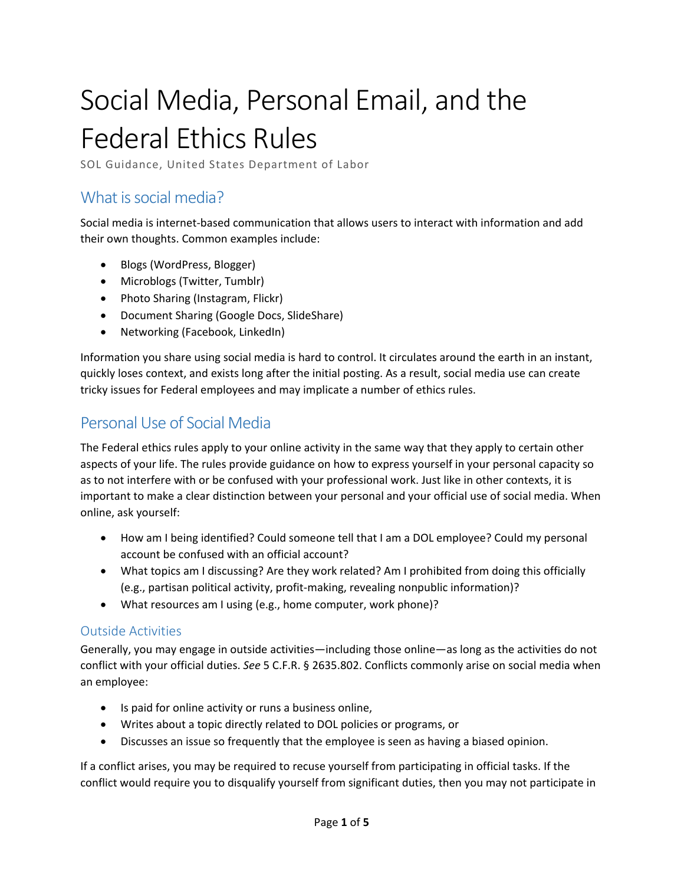# Social Media, Personal Email, and the Federal Ethics Rules

SOL Guidance, United States Department of Labor

## What is social media?

Social media is internet-based communication that allows users to interact with information and add their own thoughts. Common examples include:

- Blogs (WordPress, Blogger)
- Microblogs (Twitter, Tumblr)
- Photo Sharing (Instagram, Flickr)
- Document Sharing (Google Docs, SlideShare)
- Networking (Facebook, LinkedIn)

Information you share using social media is hard to control. It circulates around the earth in an instant, quickly loses context, and exists long after the initial posting. As a result, social media use can create tricky issues for Federal employees and may implicate a number of ethics rules.

## Personal Use of Social Media

The Federal ethics rules apply to your online activity in the same way that they apply to certain other aspects of your life. The rules provide guidance on how to express yourself in your personal capacity so as to not interfere with or be confused with your professional work. Just like in other contexts, it is important to make a clear distinction between your personal and your official use of social media. When online, ask yourself:

- How am I being identified? Could someone tell that I am a DOL employee? Could my personal account be confused with an official account?
- What topics am I discussing? Are they work related? Am I prohibited from doing this officially (e.g., partisan political activity, profit-making, revealing nonpublic information)?
- What resources am I using (e.g., home computer, work phone)?

#### Outside Activities

Generally, you may engage in outside activities—including those online—as long as the activities do not conflict with your official duties. *See* 5 C.F.R. § 2635.802. Conflicts commonly arise on social media when an employee:

- Is paid for online activity or runs a business online,
- Writes about a topic directly related to DOL policies or programs, or
- Discusses an issue so frequently that the employee is seen as having a biased opinion.

If a conflict arises, you may be required to recuse yourself from participating in official tasks. If the conflict would require you to disqualify yourself from significant duties, then you may not participate in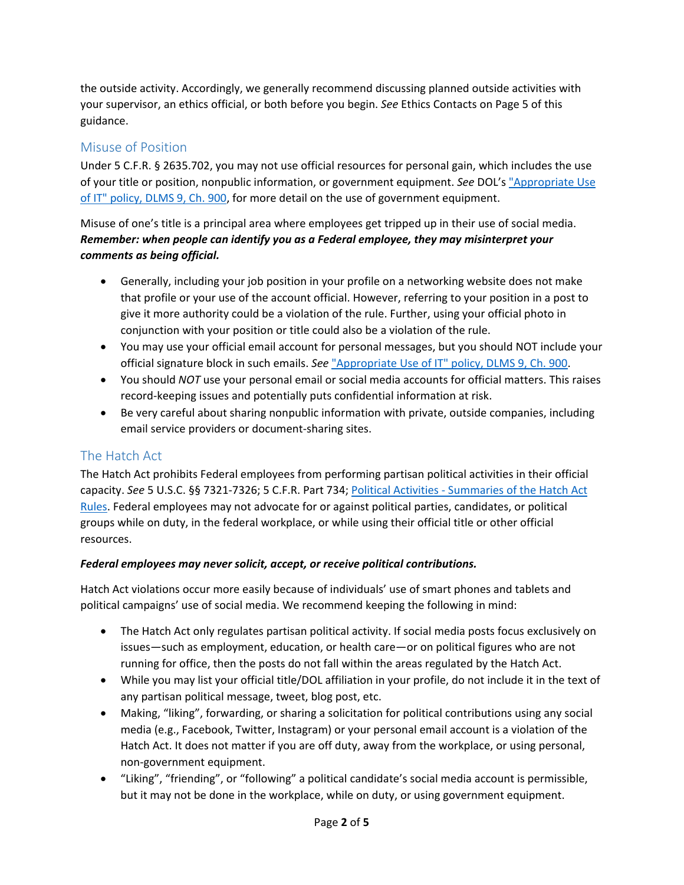the outside activity. Accordingly, we generally recommend discussing planned outside activities with your supervisor, an ethics official, or both before you begin. *See* Ethics Contacts on Page 5 of this guidance.

#### Misuse of Position

Under 5 C.F.R. § 2635.702, you may not use official resources for personal gain, which includes the use of your title or position, nonpublic information, or government equipment. *See* DOL's "Appropriate Use of [IT" policy, DLMS 9, Ch. 900, for more detail on the use of government equipment.](https://labornet.dol.gov/workplaceresources/policies/DLMS/DLMS09/dlms9-0900.htm)

Misuse of one's title is a principal area where employees get tripped up in their use of social media. *Remember: when people can identify you as a Federal employee, they may misinterpret your comments as being official.*

- Generally, including your job position in your profile on a networking website does not make that profile or your use of the account official. However, referring to your position in a post to give it more authority could be a violation of the rule. Further, using your official photo in conjunction with your position or title could also be a violation of the rule.
- You may use your official email account for personal messages, but you should NOT include your official signature block in such emails. *See* ["Appropriate Use of IT" policy, DLMS 9, Ch. 900.](https://labornet.dol.gov/workplaceresources/policies/DLMS/DLMS09/dlms9-0900.htm)
- You should *NOT* use your personal email or social media accounts for official matters. This raises record-keeping issues and potentially puts confidential information at risk.
- Be very careful about sharing nonpublic information with private, outside companies, including email service providers or document-sharing sites.

#### The Hatch Act

The Hatch Act prohibits Federal employees from performing partisan political activities in their official capacity. *See* 5 U.S.C. §§ 7321-7326; 5 C.F.R. Part 734; [Political Activities - Summaries of the Hatch Act](https://labornet.dol.gov/me/hr/ethics/Political-Act-Guidance.htm) [Rules](https://labornet.dol.gov/me/hr/ethics/Political-Act-Guidance.htm). Federal employees may not advocate for or against political parties, candidates, or political groups while on duty, in the federal workplace, or while using their official title or other official resources.

#### *Federal employees may never solicit, accept, or receive political contributions.*

Hatch Act violations occur more easily because of individuals' use of smart phones and tablets and political campaigns' use of social media. We recommend keeping the following in mind:

- The Hatch Act only regulates partisan political activity. If social media posts focus exclusively on issues—such as employment, education, or health care—or on political figures who are not running for office, then the posts do not fall within the areas regulated by the Hatch Act.
- While you may list your official title/DOL affiliation in your profile, do not include it in the text of any partisan political message, tweet, blog post, etc.
- Making, "liking", forwarding, or sharing a solicitation for political contributions using any social media (e.g., Facebook, Twitter, Instagram) or your personal email account is a violation of the Hatch Act. It does not matter if you are off duty, away from the workplace, or using personal, non-government equipment.
- "Liking", "friending", or "following" a political candidate's social media account is permissible, but it may not be done in the workplace, while on duty, or using government equipment.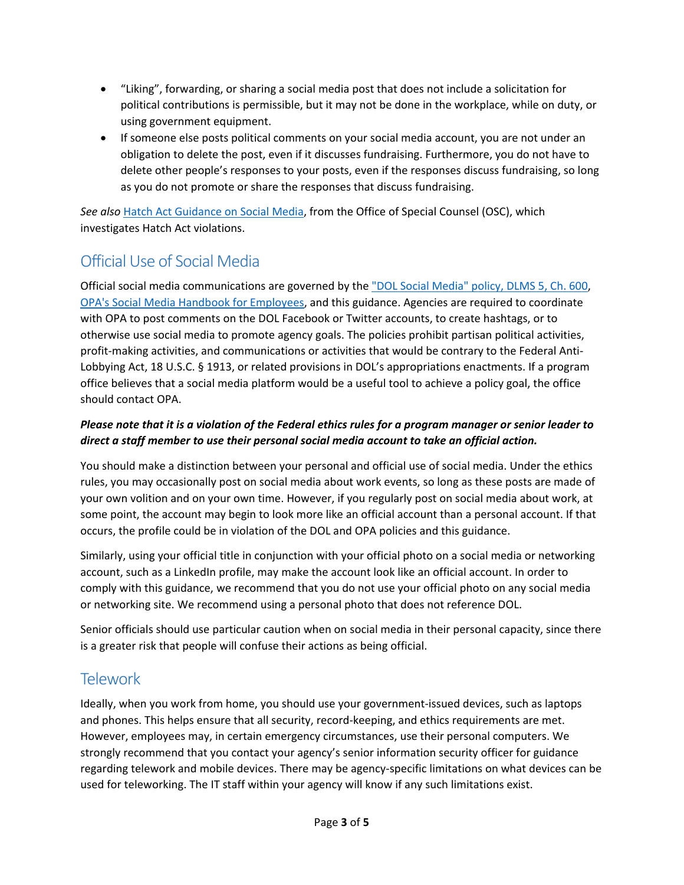- "Liking", forwarding, or sharing a social media post that does not include a solicitation for political contributions is permissible, but it may not be done in the workplace, while on duty, or using government equipment.
- If someone else posts political comments on your social media account, you are not under an obligation to delete the post, even if it discusses fundraising. Furthermore, you do not have to delete other people's responses to your posts, even if the responses discuss fundraising, so long as you do not promote or share the responses that discuss fundraising.

*See also* Hatch Act Guidance on Social Media, from the Office of Special Counsel (OSC), which investigates Hatch Act violations.

## Official Use of Social Media

Official social media communications are governed by the ["DOL Social Media" policy, DLMS 5, Ch. 600](https://labornet.dol.gov/workplaceresources/policies/Social-Media-Handbook.pdf), [OPA's Social Media Handbook for Employees](https://labornet.dol.gov/workplaceresources/policies/Social-Media-Handbook.pdf), and this guidance. Agencies are required to coordinate with OPA to post comments on the DOL Facebook or Twitter accounts, to create hashtags, or to otherwise use social media to promote agency goals. The policies prohibit partisan political activities, profit-making activities, and communications or activities that would be contrary to the Federal Anti-Lobbying Act, 18 U.S.C. § 1913, or related provisions in DOL's appropriations enactments. If a program office believes that a social media platform would be a useful tool to achieve a policy goal, the office should contact OPA.

#### *Please note that it is a violation of the Federal ethics rules for a program manager or senior leader to direct a staff member to use their personal social media account to take an official action.*

You should make a distinction between your personal and official use of social media. Under the ethics rules, you may occasionally post on social media about work events, so long as these posts are made of your own volition and on your own time. However, if you regularly post on social media about work, at some point, the account may begin to look more like an official account than a personal account. If that occurs, the profile could be in violation of the DOL and OPA policies and this guidance.

Similarly, using your official title in conjunction with your official photo on a social media or networking account, such as a LinkedIn profile, may make the account look like an official account. In order to comply with this guidance, we recommend that you do not use your official photo on any social media or networking site. We recommend using a personal photo that does not reference DOL.

Senior officials should use particular caution when on social media in their personal capacity, since there is a greater risk that people will confuse their actions as being official.

### **Telework**

Ideally, when you work from home, you should use your government-issued devices, such as laptops and phones. This helps ensure that all security, record-keeping, and ethics requirements are met. However, employees may, in certain emergency circumstances, use their personal computers. We strongly recommend that you contact your agency's senior information security officer for guidance regarding telework and mobile devices. There may be agency-specific limitations on what devices can be used for teleworking. The IT staff within your agency will know if any such limitations exist.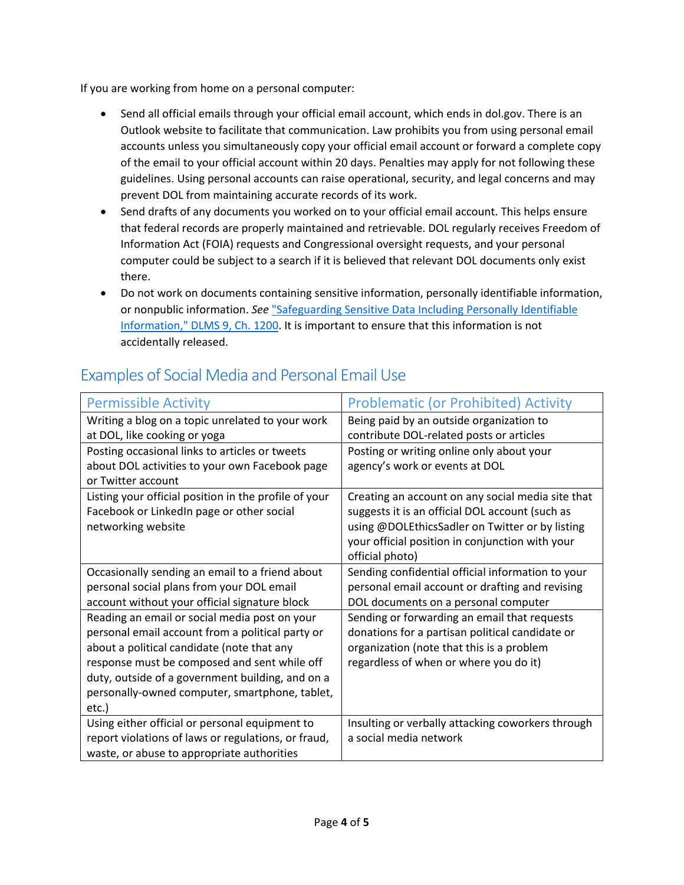If you are working from home on a personal computer:

- Send all official emails through your official email account, which ends in dol.gov. There is an Outlook website to facilitate that communication. Law prohibits you from using personal email accounts unless you simultaneously copy your official email account or forward a complete copy of the email to your official account within 20 days. Penalties may apply for not following these guidelines. Using personal accounts can raise operational, security, and legal concerns and may prevent DOL from maintaining accurate records of its work.
- Send drafts of any documents you worked on to your official email account. This helps ensure that federal records are properly maintained and retrievable. DOL regularly receives Freedom of Information Act (FOIA) requests and Congressional oversight requests, and your personal computer could be subject to a search if it is believed that relevant DOL documents only exist there.
- Do not work on documents containing sensitive information, personally identifiable information, or nonpublic information. *See* ["Safeguarding Sensitive Data Including Personally Identifiable](https://labornet.dol.gov/workplaceresources/policies/DLMS/DLMS09/dlms9-1200.htm)  [Information," DLMS 9, Ch. 1200.](https://labornet.dol.gov/workplaceresources/policies/DLMS/DLMS09/dlms9-1200.htm) It is important to ensure that this information is not accidentally released.

| <b>Permissible Activity</b>                           | <b>Problematic (or Prohibited) Activity</b>       |
|-------------------------------------------------------|---------------------------------------------------|
| Writing a blog on a topic unrelated to your work      | Being paid by an outside organization to          |
| at DOL, like cooking or yoga                          | contribute DOL-related posts or articles          |
| Posting occasional links to articles or tweets        | Posting or writing online only about your         |
| about DOL activities to your own Facebook page        | agency's work or events at DOL                    |
| or Twitter account                                    |                                                   |
| Listing your official position in the profile of your | Creating an account on any social media site that |
| Facebook or LinkedIn page or other social             | suggests it is an official DOL account (such as   |
| networking website                                    | using @DOLEthicsSadler on Twitter or by listing   |
|                                                       | your official position in conjunction with your   |
|                                                       | official photo)                                   |
| Occasionally sending an email to a friend about       | Sending confidential official information to your |
| personal social plans from your DOL email             | personal email account or drafting and revising   |
| account without your official signature block         | DOL documents on a personal computer              |
| Reading an email or social media post on your         | Sending or forwarding an email that requests      |
| personal email account from a political party or      | donations for a partisan political candidate or   |
| about a political candidate (note that any            | organization (note that this is a problem         |
| response must be composed and sent while off          | regardless of when or where you do it)            |
| duty, outside of a government building, and on a      |                                                   |
| personally-owned computer, smartphone, tablet,        |                                                   |
| etc.)                                                 |                                                   |
| Using either official or personal equipment to        | Insulting or verbally attacking coworkers through |
| report violations of laws or regulations, or fraud,   | a social media network                            |
| waste, or abuse to appropriate authorities            |                                                   |

## Examples of Social Media and Personal Email Use